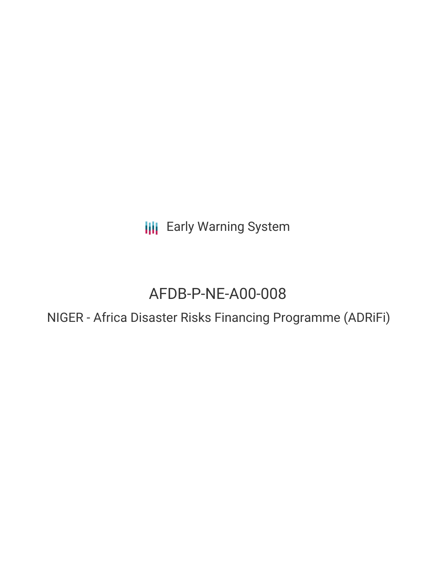**III** Early Warning System

# AFDB-P-NE-A00-008

NIGER - Africa Disaster Risks Financing Programme (ADRiFi)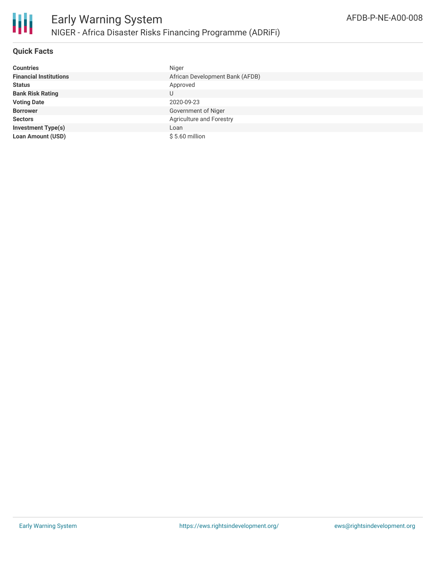

# **Quick Facts**

| <b>Countries</b>              | Niger                           |
|-------------------------------|---------------------------------|
| <b>Financial Institutions</b> | African Development Bank (AFDB) |
| <b>Status</b>                 | Approved                        |
| <b>Bank Risk Rating</b>       | U                               |
| <b>Voting Date</b>            | 2020-09-23                      |
| <b>Borrower</b>               | Government of Niger             |
| <b>Sectors</b>                | Agriculture and Forestry        |
| <b>Investment Type(s)</b>     | Loan                            |
| <b>Loan Amount (USD)</b>      | $$5.60$ million                 |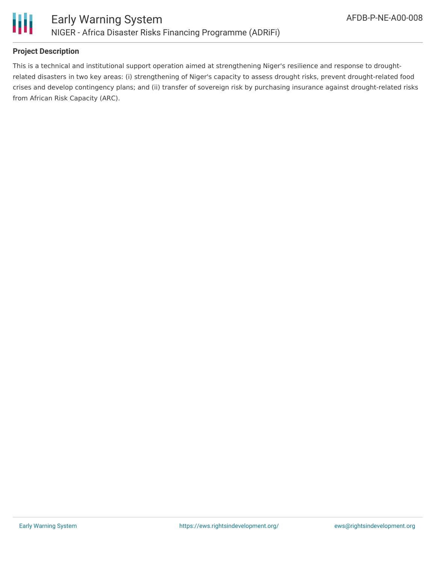

## **Project Description**

This is a technical and institutional support operation aimed at strengthening Niger's resilience and response to droughtrelated disasters in two key areas: (i) strengthening of Niger's capacity to assess drought risks, prevent drought-related food crises and develop contingency plans; and (ii) transfer of sovereign risk by purchasing insurance against drought-related risks from African Risk Capacity (ARC).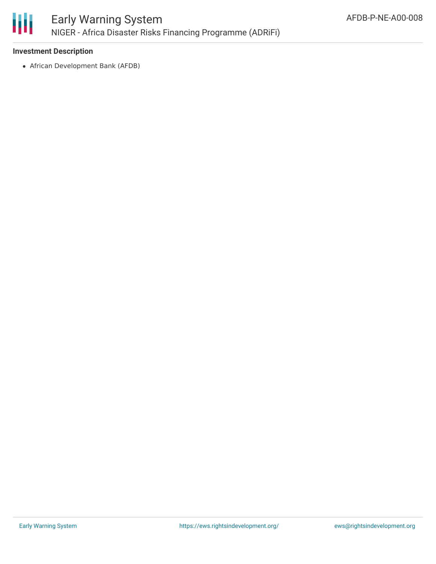

## **Investment Description**

African Development Bank (AFDB)